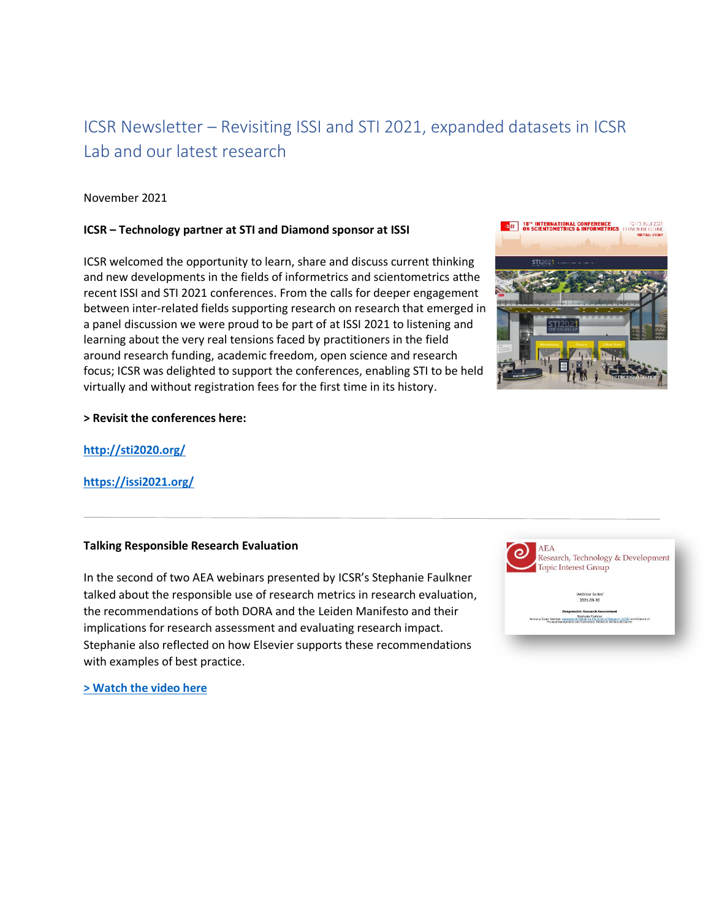# ICSR Newsletter – Revisiting ISSI and STI 2021, expanded datasets in ICSR Lab and our latest research

# November 2021

### **ICSR – Technology partner at STI and Diamond sponsor at ISSI**

ICSR welcomed the opportunity to learn, share and discuss current thinking and new developments in the fields of informetrics and scientometrics atthe recent ISSI and STI 2021 conferences. From the calls for deeper engagement between inter-related fields supporting research on research that emerged in a panel discussion we were proud to be part of at ISSI 2021 to listening and learning about the very real tensions faced by practitioners in the field around research funding, academic freedom, open science and research focus; ICSR was delighted to support the conferences, enabling STI to be held virtually and without registration fees for the first time in its history.



#### **> Revisit the conferences here:**

**<http://sti2020.org/>**

## **<https://issi2021.org/>**

#### **Talking Responsible Research Evaluation**

In the second of two AEA webinars presented by ICSR's Stephanie Faulkner talked about the responsible use of research metrics in research evaluation, the recommendations of both DORA and the Leiden Manifesto and their implications for research assessment and evaluating research impact. Stephanie also reflected on how Elsevier supports these recommendations with examples of best practice.



**[> Watch the video here](https://www.youtube.com/watch?v=87HcdtxQMlI)**